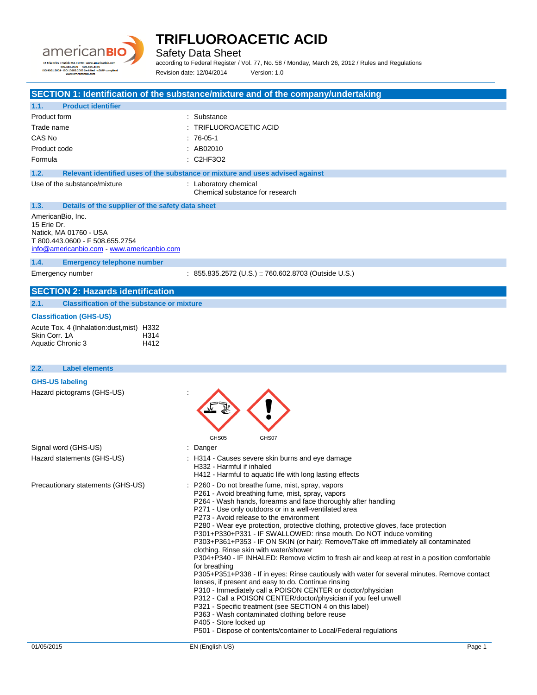

Safety Data Sheet

according to Federal Register / Vol. 77, No. 58 / Monday, March 26, 2012 / Rules and Regulations Revision date: 12/04/2014 Version: 1.0

### **SECTION 1: Identification of the substance/mixture and of the company/undertaking**

| 1.1.         | <b>Product identifier</b>                                                     |                        |
|--------------|-------------------------------------------------------------------------------|------------------------|
| Product form | : Substance                                                                   |                        |
| Trade name   |                                                                               | : TRIFLUOROACETIC ACID |
| CAS No       | $: 76-05-1$                                                                   |                        |
| Product code | $\therefore$ AB02010                                                          |                        |
| Formula      | $\therefore$ C2HF3O2                                                          |                        |
| 1.2.         | Relevant identified uses of the substance or mixture and uses advised against |                        |

Use of the substance/mixture : Laboratory chemical

Chemical substance for research

### **1.3. Details of the supplier of the safety data sheet**

AmericanBio, Inc. 15 Erie Dr. Natick, MA 01760 - USA T 800.443.0600 - F 508.655.2754 [info@americanbio.com](mailto:info@americanbio.com) - <www.americanbio.com>

**1.4. Emergency telephone number**

Emergency number : 855.835.2572 (U.S.) :: 760.602.8703 (Outside U.S.)

### **SECTION 2: Hazards identification**

**2.1. Classification of the substance or mixture**

#### **Classification (GHS-US)**

| Acute Tox. 4 (Inhalation: dust, mist) H332 |      |  |
|--------------------------------------------|------|--|
| Skin Corr. 1A                              | H314 |  |
| Aquatic Chronic 3                          | H412 |  |

### **2.2. Label elements GHS-US labeling** Hazard pictograms (GHS-US) : GHS05 GHS07 Signal word (GHS-US) in the state of the Signal word (GHS-US) in the state of the Signal and Signal and Signal Signal and Signal and Signal and Signal and Signal and Signal and Signal and Signal and Signal and Signal and S Hazard statements (GHS-US) : H314 - Causes severe skin burns and eye damage H332 - Harmful if inhaled H412 - Harmful to aquatic life with long lasting effects Precautionary statements (GHS-US) : P260 - Do not breathe fume, mist, spray, vapors P261 - Avoid breathing fume, mist, spray, vapors P264 - Wash hands, forearms and face thoroughly after handling P271 - Use only outdoors or in a well-ventilated area P273 - Avoid release to the environment P280 - Wear eye protection, protective clothing, protective gloves, face protection P301+P330+P331 - IF SWALLOWED: rinse mouth. Do NOT induce vomiting P303+P361+P353 - IF ON SKIN (or hair): Remove/Take off immediately all contaminated clothing. Rinse skin with water/shower P304+P340 - IF INHALED: Remove victim to fresh air and keep at rest in a position comfortable for breathing P305+P351+P338 - If in eyes: Rinse cautiously with water for several minutes. Remove contact lenses, if present and easy to do. Continue rinsing P310 - Immediately call a POISON CENTER or doctor/physician P312 - Call a POISON CENTER/doctor/physician if you feel unwell P321 - Specific treatment (see SECTION 4 on this label) P363 - Wash contaminated clothing before reuse P405 - Store locked up P501 - Dispose of contents/container to Local/Federal regulations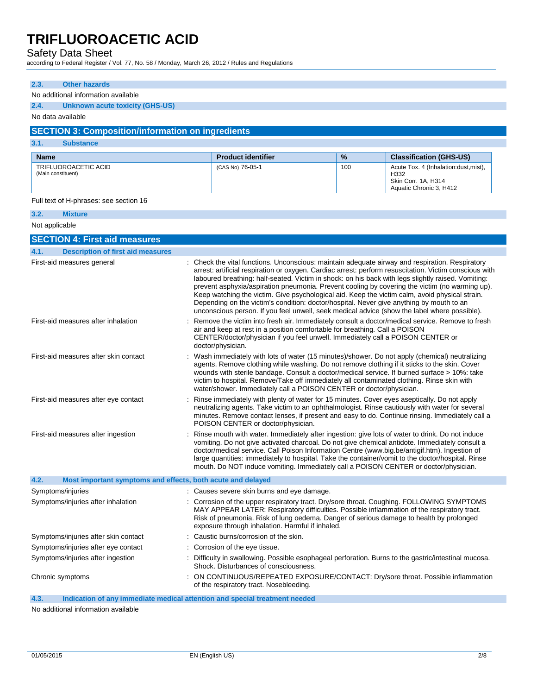# Safety Data Sheet

according to Federal Register / Vol. 77, No. 58 / Monday, March 26, 2012 / Rules and Regulations

| 2.3.               | <b>Other hazards</b>                                        |  |                                                                                                                                                                                                                                                                                                                                                                                                                                                                                                                                                                                                              |      |                                                        |
|--------------------|-------------------------------------------------------------|--|--------------------------------------------------------------------------------------------------------------------------------------------------------------------------------------------------------------------------------------------------------------------------------------------------------------------------------------------------------------------------------------------------------------------------------------------------------------------------------------------------------------------------------------------------------------------------------------------------------------|------|--------------------------------------------------------|
|                    | No additional information available                         |  |                                                                                                                                                                                                                                                                                                                                                                                                                                                                                                                                                                                                              |      |                                                        |
| 2.4.               | Unknown acute toxicity (GHS-US)                             |  |                                                                                                                                                                                                                                                                                                                                                                                                                                                                                                                                                                                                              |      |                                                        |
|                    | No data available                                           |  |                                                                                                                                                                                                                                                                                                                                                                                                                                                                                                                                                                                                              |      |                                                        |
|                    | <b>SECTION 3: Composition/information on ingredients</b>    |  |                                                                                                                                                                                                                                                                                                                                                                                                                                                                                                                                                                                                              |      |                                                        |
| 3.1.               | <b>Substance</b>                                            |  |                                                                                                                                                                                                                                                                                                                                                                                                                                                                                                                                                                                                              |      |                                                        |
| <b>Name</b>        |                                                             |  | <b>Product identifier</b>                                                                                                                                                                                                                                                                                                                                                                                                                                                                                                                                                                                    | $\%$ | <b>Classification (GHS-US)</b>                         |
|                    | TRIFLUOROACETIC ACID                                        |  | (CAS No) 76-05-1                                                                                                                                                                                                                                                                                                                                                                                                                                                                                                                                                                                             | 100  | Acute Tox. 4 (Inhalation:dust, mist),                  |
| (Main constituent) |                                                             |  |                                                                                                                                                                                                                                                                                                                                                                                                                                                                                                                                                                                                              |      | H332<br>Skin Corr. 1A, H314<br>Aquatic Chronic 3, H412 |
|                    | Full text of H-phrases: see section 16                      |  |                                                                                                                                                                                                                                                                                                                                                                                                                                                                                                                                                                                                              |      |                                                        |
| 3.2.               | <b>Mixture</b>                                              |  |                                                                                                                                                                                                                                                                                                                                                                                                                                                                                                                                                                                                              |      |                                                        |
| Not applicable     |                                                             |  |                                                                                                                                                                                                                                                                                                                                                                                                                                                                                                                                                                                                              |      |                                                        |
|                    | <b>SECTION 4: First aid measures</b>                        |  |                                                                                                                                                                                                                                                                                                                                                                                                                                                                                                                                                                                                              |      |                                                        |
| 4.1.               | <b>Description of first aid measures</b>                    |  |                                                                                                                                                                                                                                                                                                                                                                                                                                                                                                                                                                                                              |      |                                                        |
|                    | First-aid measures general                                  |  | Check the vital functions. Unconscious: maintain adequate airway and respiration. Respiratory                                                                                                                                                                                                                                                                                                                                                                                                                                                                                                                |      |                                                        |
|                    |                                                             |  | arrest: artificial respiration or oxygen. Cardiac arrest: perform resuscitation. Victim conscious with<br>laboured breathing: half-seated. Victim in shock: on his back with legs slightly raised. Vomiting:<br>prevent asphyxia/aspiration pneumonia. Prevent cooling by covering the victim (no warming up).<br>Keep watching the victim. Give psychological aid. Keep the victim calm, avoid physical strain.<br>Depending on the victim's condition: doctor/hospital. Never give anything by mouth to an<br>unconscious person. If you feel unwell, seek medical advice (show the label where possible). |      |                                                        |
|                    | First-aid measures after inhalation                         |  | Remove the victim into fresh air. Immediately consult a doctor/medical service. Remove to fresh<br>air and keep at rest in a position comfortable for breathing. Call a POISON<br>CENTER/doctor/physician if you feel unwell. Immediately call a POISON CENTER or<br>doctor/physician.                                                                                                                                                                                                                                                                                                                       |      |                                                        |
|                    | First-aid measures after skin contact                       |  | : Wash immediately with lots of water (15 minutes)/shower. Do not apply (chemical) neutralizing<br>agents. Remove clothing while washing. Do not remove clothing if it sticks to the skin. Cover<br>wounds with sterile bandage. Consult a doctor/medical service. If burned surface > 10%: take<br>victim to hospital. Remove/Take off immediately all contaminated clothing. Rinse skin with<br>water/shower. Immediately call a POISON CENTER or doctor/physician.                                                                                                                                        |      |                                                        |
|                    | First-aid measures after eye contact                        |  | Rinse immediately with plenty of water for 15 minutes. Cover eyes aseptically. Do not apply<br>neutralizing agents. Take victim to an ophthalmologist. Rinse cautiously with water for several<br>minutes. Remove contact lenses, if present and easy to do. Continue rinsing. Immediately call a<br>POISON CENTER or doctor/physician.                                                                                                                                                                                                                                                                      |      |                                                        |
|                    | First-aid measures after ingestion                          |  | Rinse mouth with water. Immediately after ingestion: give lots of water to drink. Do not induce<br>vomiting. Do not give activated charcoal. Do not give chemical antidote. Immediately consult a<br>doctor/medical service. Call Poison Information Centre (www.big.be/antigif.htm). Ingestion of<br>large quantities: immediately to hospital. Take the container/vomit to the doctor/hospital. Rinse<br>mouth. Do NOT induce vomiting. Immediately call a POISON CENTER or doctor/physician.                                                                                                              |      |                                                        |
| 4.2.               | Most important symptoms and effects, both acute and delayed |  |                                                                                                                                                                                                                                                                                                                                                                                                                                                                                                                                                                                                              |      |                                                        |
|                    | Symptoms/injuries                                           |  | : Causes severe skin burns and eye damage.                                                                                                                                                                                                                                                                                                                                                                                                                                                                                                                                                                   |      |                                                        |
|                    | Symptoms/injuries after inhalation                          |  | Corrosion of the upper respiratory tract. Dry/sore throat. Coughing. FOLLOWING SYMPTOMS<br>MAY APPEAR LATER: Respiratory difficulties. Possible inflammation of the respiratory tract.<br>Risk of pneumonia. Risk of lung oedema. Danger of serious damage to health by prolonged<br>exposure through inhalation. Harmful if inhaled.                                                                                                                                                                                                                                                                        |      |                                                        |
|                    | Symptoms/injuries after skin contact                        |  | : Caustic burns/corrosion of the skin.                                                                                                                                                                                                                                                                                                                                                                                                                                                                                                                                                                       |      |                                                        |
|                    | Symptoms/injuries after eye contact                         |  | Corrosion of the eye tissue.                                                                                                                                                                                                                                                                                                                                                                                                                                                                                                                                                                                 |      |                                                        |
|                    | Symptoms/injuries after ingestion                           |  | Difficulty in swallowing. Possible esophageal perforation. Burns to the gastric/intestinal mucosa.<br>Shock. Disturbances of consciousness.                                                                                                                                                                                                                                                                                                                                                                                                                                                                  |      |                                                        |
|                    | Chronic symptoms                                            |  | ON CONTINUOUS/REPEATED EXPOSURE/CONTACT: Dry/sore throat. Possible inflammation<br>of the respiratory tract. Nosebleeding.                                                                                                                                                                                                                                                                                                                                                                                                                                                                                   |      |                                                        |

**4.3. Indication of any immediate medical attention and special treatment needed**

No additional information available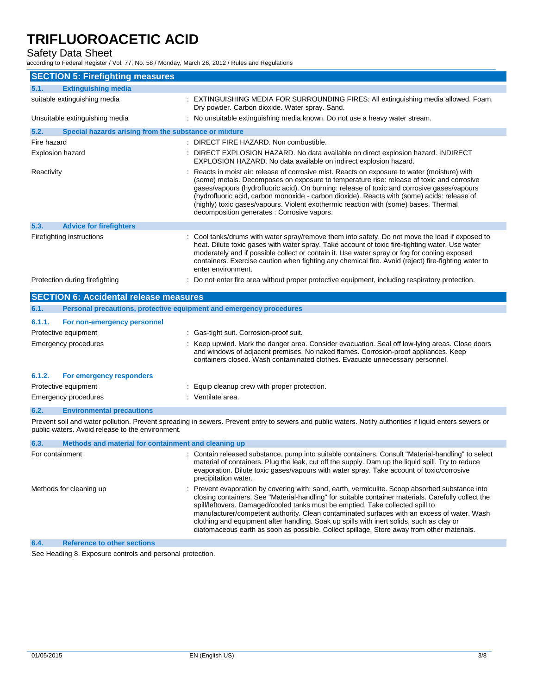# Safety Data Sheet

according to Federal Register / Vol. 77, No. 58 / Monday, March 26, 2012 / Rules and Regulations

| <b>SECTION 5: Firefighting measures</b>                       |                                                                                                                                                                                                                                                                                                                                                                                                                                                                                                                               |
|---------------------------------------------------------------|-------------------------------------------------------------------------------------------------------------------------------------------------------------------------------------------------------------------------------------------------------------------------------------------------------------------------------------------------------------------------------------------------------------------------------------------------------------------------------------------------------------------------------|
| <b>Extinguishing media</b><br>5.1.                            |                                                                                                                                                                                                                                                                                                                                                                                                                                                                                                                               |
| suitable extinguishing media                                  | EXTINGUISHING MEDIA FOR SURROUNDING FIRES: All extinguishing media allowed. Foam.<br>Dry powder. Carbon dioxide. Water spray. Sand.                                                                                                                                                                                                                                                                                                                                                                                           |
| Unsuitable extinguishing media                                | : No unsuitable extinguishing media known. Do not use a heavy water stream.                                                                                                                                                                                                                                                                                                                                                                                                                                                   |
| 5.2.<br>Special hazards arising from the substance or mixture |                                                                                                                                                                                                                                                                                                                                                                                                                                                                                                                               |
| Fire hazard                                                   | : DIRECT FIRE HAZARD. Non combustible.                                                                                                                                                                                                                                                                                                                                                                                                                                                                                        |
| <b>Explosion hazard</b>                                       | DIRECT EXPLOSION HAZARD. No data available on direct explosion hazard. INDIRECT<br>EXPLOSION HAZARD. No data available on indirect explosion hazard.                                                                                                                                                                                                                                                                                                                                                                          |
| Reactivity                                                    | Reacts in moist air: release of corrosive mist. Reacts on exposure to water (moisture) with<br>(some) metals. Decomposes on exposure to temperature rise: release of toxic and corrosive<br>gases/vapours (hydrofluoric acid). On burning: release of toxic and corrosive gases/vapours<br>(hydrofluoric acid, carbon monoxide - carbon dioxide). Reacts with (some) acids: release of<br>(highly) toxic gases/vapours. Violent exothermic reaction with (some) bases. Thermal<br>decomposition generates : Corrosive vapors. |
| 5.3.<br><b>Advice for firefighters</b>                        |                                                                                                                                                                                                                                                                                                                                                                                                                                                                                                                               |
| Firefighting instructions                                     | : Cool tanks/drums with water spray/remove them into safety. Do not move the load if exposed to<br>heat. Dilute toxic gases with water spray. Take account of toxic fire-fighting water. Use water<br>moderately and if possible collect or contain it. Use water spray or fog for cooling exposed<br>containers. Exercise caution when fighting any chemical fire. Avoid (reject) fire-fighting water to<br>enter environment.                                                                                               |
| Protection during firefighting                                | Do not enter fire area without proper protective equipment, including respiratory protection.                                                                                                                                                                                                                                                                                                                                                                                                                                 |
| <b>SECTION 6: Accidental release measures</b>                 |                                                                                                                                                                                                                                                                                                                                                                                                                                                                                                                               |
| 6.1.                                                          | Personal precautions, protective equipment and emergency procedures                                                                                                                                                                                                                                                                                                                                                                                                                                                           |
| 6.1.1.<br>For non-emergency personnel                         |                                                                                                                                                                                                                                                                                                                                                                                                                                                                                                                               |
| Protective equipment                                          | : Gas-tight suit. Corrosion-proof suit.                                                                                                                                                                                                                                                                                                                                                                                                                                                                                       |
| <b>Emergency procedures</b>                                   | Keep upwind. Mark the danger area. Consider evacuation. Seal off low-lying areas. Close doors<br>and windows of adjacent premises. No naked flames. Corrosion-proof appliances. Keep<br>containers closed. Wash contaminated clothes. Evacuate unnecessary personnel.                                                                                                                                                                                                                                                         |
| 6.1.2.<br>For emergency responders                            |                                                                                                                                                                                                                                                                                                                                                                                                                                                                                                                               |
| Protective equipment                                          | Equip cleanup crew with proper protection.                                                                                                                                                                                                                                                                                                                                                                                                                                                                                    |
| <b>Emergency procedures</b>                                   | : Ventilate area.                                                                                                                                                                                                                                                                                                                                                                                                                                                                                                             |

### **6.2. Environmental precautions**

Prevent soil and water pollution. Prevent spreading in sewers. Prevent entry to sewers and public waters. Notify authorities if liquid enters sewers or public waters. Avoid release to the environment.

| 6.3.                    | Methods and material for containment and cleaning up |                                                                                                                                                                                                                                                                                                                                                                                                                                                                                                                                                                                   |
|-------------------------|------------------------------------------------------|-----------------------------------------------------------------------------------------------------------------------------------------------------------------------------------------------------------------------------------------------------------------------------------------------------------------------------------------------------------------------------------------------------------------------------------------------------------------------------------------------------------------------------------------------------------------------------------|
|                         | For containment                                      | : Contain released substance, pump into suitable containers. Consult "Material-handling" to select<br>material of containers. Plug the leak, cut off the supply. Dam up the liquid spill. Try to reduce<br>evaporation. Dilute toxic gases/vapours with water spray. Take account of toxic/corrosive<br>precipitation water.                                                                                                                                                                                                                                                      |
| Methods for cleaning up |                                                      | : Prevent evaporation by covering with: sand, earth, vermiculite. Scoop absorbed substance into<br>closing containers. See "Material-handling" for suitable container materials. Carefully collect the<br>spill/leftovers. Damaged/cooled tanks must be emptied. Take collected spill to<br>manufacturer/competent authority. Clean contaminated surfaces with an excess of water. Wash<br>clothing and equipment after handling. Soak up spills with inert solids, such as clay or<br>diatomaceous earth as soon as possible. Collect spillage. Store away from other materials. |
| 6.4.                    | <b>Reference to other sections</b>                   |                                                                                                                                                                                                                                                                                                                                                                                                                                                                                                                                                                                   |

See Heading 8. Exposure controls and personal protection.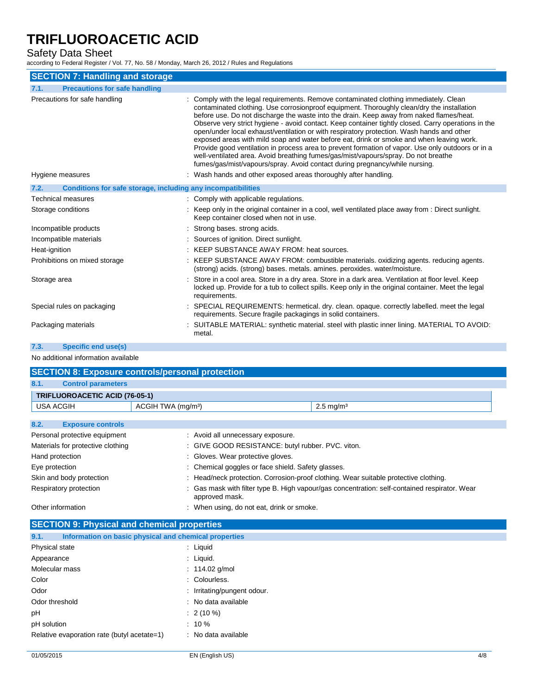### Safety Data Sheet

according to Federal Register / Vol. 77, No. 58 / Monday, March 26, 2012 / Rules and Regulations

| <b>SECTION 7: Handling and storage</b>                               |                                                                                                                                                                                                                                                                                                                                                                                                                                                                                                                                                                                                                                                                                                                                                                                                                                                           |
|----------------------------------------------------------------------|-----------------------------------------------------------------------------------------------------------------------------------------------------------------------------------------------------------------------------------------------------------------------------------------------------------------------------------------------------------------------------------------------------------------------------------------------------------------------------------------------------------------------------------------------------------------------------------------------------------------------------------------------------------------------------------------------------------------------------------------------------------------------------------------------------------------------------------------------------------|
| <b>Precautions for safe handling</b><br>7.1.                         |                                                                                                                                                                                                                                                                                                                                                                                                                                                                                                                                                                                                                                                                                                                                                                                                                                                           |
| Precautions for safe handling                                        | : Comply with the legal requirements. Remove contaminated clothing immediately. Clean<br>contaminated clothing. Use corrosionproof equipment. Thoroughly clean/dry the installation<br>before use. Do not discharge the waste into the drain. Keep away from naked flames/heat.<br>Observe very strict hygiene - avoid contact. Keep container tightly closed. Carry operations in the<br>open/under local exhaust/ventilation or with respiratory protection. Wash hands and other<br>exposed areas with mild soap and water before eat, drink or smoke and when leaving work.<br>Provide good ventilation in process area to prevent formation of vapor. Use only outdoors or in a<br>well-ventilated area. Avoid breathing fumes/gas/mist/vapours/spray. Do not breathe<br>fumes/gas/mist/vapours/spray. Avoid contact during pregnancy/while nursing. |
| Hygiene measures                                                     | : Wash hands and other exposed areas thoroughly after handling.                                                                                                                                                                                                                                                                                                                                                                                                                                                                                                                                                                                                                                                                                                                                                                                           |
| 7.2.<br>Conditions for safe storage, including any incompatibilities |                                                                                                                                                                                                                                                                                                                                                                                                                                                                                                                                                                                                                                                                                                                                                                                                                                                           |
| Technical measures                                                   | : Comply with applicable regulations.                                                                                                                                                                                                                                                                                                                                                                                                                                                                                                                                                                                                                                                                                                                                                                                                                     |
| Storage conditions                                                   | : Keep only in the original container in a cool, well ventilated place away from : Direct sunlight.<br>Keep container closed when not in use.                                                                                                                                                                                                                                                                                                                                                                                                                                                                                                                                                                                                                                                                                                             |
| Incompatible products                                                | : Strong bases, strong acids.                                                                                                                                                                                                                                                                                                                                                                                                                                                                                                                                                                                                                                                                                                                                                                                                                             |
| Incompatible materials                                               | : Sources of ignition. Direct sunlight.                                                                                                                                                                                                                                                                                                                                                                                                                                                                                                                                                                                                                                                                                                                                                                                                                   |
| Heat-ignition                                                        | : KEEP SUBSTANCE AWAY FROM: heat sources.                                                                                                                                                                                                                                                                                                                                                                                                                                                                                                                                                                                                                                                                                                                                                                                                                 |
| Prohibitions on mixed storage                                        | : KEEP SUBSTANCE AWAY FROM: combustible materials. oxidizing agents. reducing agents.<br>(strong) acids. (strong) bases. metals. amines. peroxides. water/moisture.                                                                                                                                                                                                                                                                                                                                                                                                                                                                                                                                                                                                                                                                                       |
| Storage area                                                         | : Store in a cool area. Store in a dry area. Store in a dark area. Ventilation at floor level. Keep<br>locked up. Provide for a tub to collect spills. Keep only in the original container. Meet the legal<br>requirements.                                                                                                                                                                                                                                                                                                                                                                                                                                                                                                                                                                                                                               |
| Special rules on packaging                                           | : SPECIAL REQUIREMENTS: hermetical. dry. clean. opaque. correctly labelled. meet the legal<br>requirements. Secure fragile packagings in solid containers.                                                                                                                                                                                                                                                                                                                                                                                                                                                                                                                                                                                                                                                                                                |
| Packaging materials                                                  | : SUITABLE MATERIAL: synthetic material. steel with plastic inner lining. MATERIAL TO AVOID:<br>metal.                                                                                                                                                                                                                                                                                                                                                                                                                                                                                                                                                                                                                                                                                                                                                    |

**7.3. Specific end use(s)**

No additional information available

| <b>SECTION 8: Exposure controls/personal protection</b> |                                                    |                                                                                               |  |  |
|---------------------------------------------------------|----------------------------------------------------|-----------------------------------------------------------------------------------------------|--|--|
| 8.1.<br><b>Control parameters</b>                       |                                                    |                                                                                               |  |  |
| <b>TRIFLUOROACETIC ACID (76-05-1)</b>                   |                                                    |                                                                                               |  |  |
| <b>USA ACGIH</b>                                        | ACGIH TWA (mg/m <sup>3</sup> )                     | $2.5 \text{ mg/m}^3$                                                                          |  |  |
|                                                         |                                                    |                                                                                               |  |  |
| 8.2.<br><b>Exposure controls</b>                        |                                                    |                                                                                               |  |  |
| Personal protective equipment                           | : Avoid all unnecessary exposure.                  |                                                                                               |  |  |
| Materials for protective clothing                       |                                                    | : GIVE GOOD RESISTANCE: butyl rubber. PVC. viton.                                             |  |  |
| Hand protection                                         | : Gloves. Wear protective gloves.                  |                                                                                               |  |  |
| Eye protection                                          | : Chemical goggles or face shield. Safety glasses. |                                                                                               |  |  |
| Skin and body protection                                |                                                    | : Head/neck protection. Corrosion-proof clothing. Wear suitable protective clothing.          |  |  |
| Respiratory protection                                  | approved mask.                                     | : Gas mask with filter type B. High vapour/gas concentration: self-contained respirator. Wear |  |  |
| Other information                                       |                                                    | : When using, do not eat, drink or smoke.                                                     |  |  |

| <b>SECTION 9: Physical and chemical properties</b>            |                             |
|---------------------------------------------------------------|-----------------------------|
| 9.1.<br>Information on basic physical and chemical properties |                             |
| Physical state                                                | : Liquid                    |
| Appearance                                                    | : Liquid.                   |
| Molecular mass                                                | : $114.02$ g/mol            |
| Color                                                         | : Colourless.               |
| Odor                                                          | : Irritating/pungent odour. |
| Odor threshold                                                | : No data available         |
| рH                                                            | $: 2(10\%)$                 |
| pH solution                                                   | $: 10 \%$                   |
| Relative evaporation rate (butyl acetate=1)                   | : No data available         |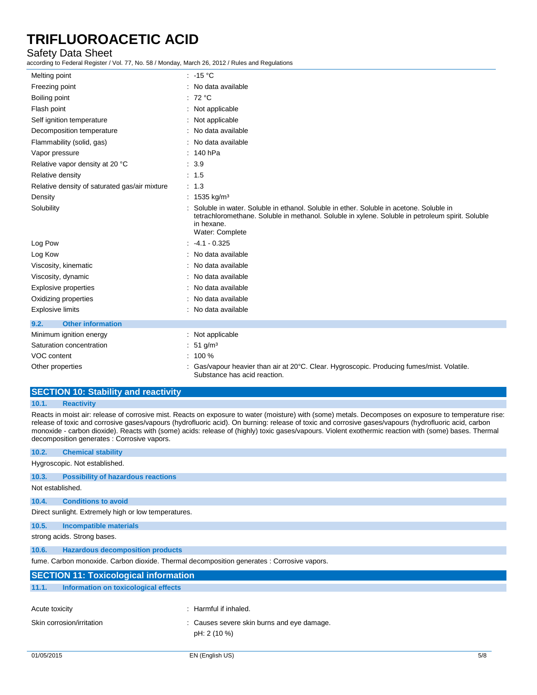## Safety Data Sheet

according to Federal Register / Vol. 77, No. 58 / Monday, March 26, 2012 / Rules and Regulations

| Melting point                                 | $: -15 °C$                                                                                                                                                                                                                  |
|-----------------------------------------------|-----------------------------------------------------------------------------------------------------------------------------------------------------------------------------------------------------------------------------|
| Freezing point                                | : No data available                                                                                                                                                                                                         |
| Boiling point                                 | : $72 °C$                                                                                                                                                                                                                   |
| Flash point                                   | : Not applicable                                                                                                                                                                                                            |
| Self ignition temperature                     | : Not applicable                                                                                                                                                                                                            |
| Decomposition temperature                     | No data available                                                                                                                                                                                                           |
| Flammability (solid, gas)                     | : No data available                                                                                                                                                                                                         |
| Vapor pressure                                | $: 140$ hPa                                                                                                                                                                                                                 |
| Relative vapor density at 20 °C               | : 3.9                                                                                                                                                                                                                       |
| Relative density                              | : 1.5                                                                                                                                                                                                                       |
| Relative density of saturated gas/air mixture | $\therefore$ 1.3                                                                                                                                                                                                            |
| Density                                       | : 1535 kg/m <sup>3</sup>                                                                                                                                                                                                    |
| Solubility                                    | Soluble in water. Soluble in ethanol. Soluble in ether. Soluble in acetone. Soluble in<br>tetrachloromethane. Soluble in methanol. Soluble in xylene. Soluble in petroleum spirit. Soluble<br>in hexane.<br>Water: Complete |
| Log Pow                                       | $-4.1 - 0.325$                                                                                                                                                                                                              |
| Log Kow                                       | No data available                                                                                                                                                                                                           |
| Viscosity, kinematic                          | : No data available                                                                                                                                                                                                         |
| Viscosity, dynamic                            | No data available                                                                                                                                                                                                           |
| <b>Explosive properties</b>                   | No data available                                                                                                                                                                                                           |
| Oxidizing properties                          | : No data available                                                                                                                                                                                                         |
| <b>Explosive limits</b>                       | : No data available                                                                                                                                                                                                         |
| <b>Other information</b><br>9.2.              |                                                                                                                                                                                                                             |
| Minimum ignition energy                       | : Not applicable                                                                                                                                                                                                            |
| Saturation concentration                      | 51 g/m <sup>3</sup>                                                                                                                                                                                                         |
| VOC content                                   | $: 100 \%$                                                                                                                                                                                                                  |
| Other properties                              | Gas/vapour heavier than air at 20°C. Clear. Hygroscopic. Producing fumes/mist. Volatile.<br>Substance has acid reaction.                                                                                                    |

# **SECTION 10: Stability and reactivity**

### **10.1. Reactivity**

Reacts in moist air: release of corrosive mist. Reacts on exposure to water (moisture) with (some) metals. Decomposes on exposure to temperature rise: release of toxic and corrosive gases/vapours (hydrofluoric acid). On burning: release of toxic and corrosive gases/vapours (hydrofluoric acid, carbon monoxide - carbon dioxide). Reacts with (some) acids: release of (highly) toxic gases/vapours. Violent exothermic reaction with (some) bases. Thermal decomposition generates : Corrosive vapors.

| 10.5.          | <b>Incompatible materials</b>                |                                                                                            |  |  |  |
|----------------|----------------------------------------------|--------------------------------------------------------------------------------------------|--|--|--|
|                | strong acids. Strong bases.                  |                                                                                            |  |  |  |
| 10.6.          | <b>Hazardous decomposition products</b>      |                                                                                            |  |  |  |
|                |                                              | fume. Carbon monoxide. Carbon dioxide. Thermal decomposition generates : Corrosive vapors. |  |  |  |
|                |                                              |                                                                                            |  |  |  |
|                |                                              |                                                                                            |  |  |  |
|                | <b>SECTION 11: Toxicological information</b> |                                                                                            |  |  |  |
| 11.1.          | Information on toxicological effects         |                                                                                            |  |  |  |
|                |                                              | Harmful if inhaled.                                                                        |  |  |  |
|                | Skin corrosion/irritation                    | : Causes severe skin burns and eye damage.                                                 |  |  |  |
| Acute toxicity |                                              |                                                                                            |  |  |  |
|                |                                              | pH: 2 (10 %)                                                                               |  |  |  |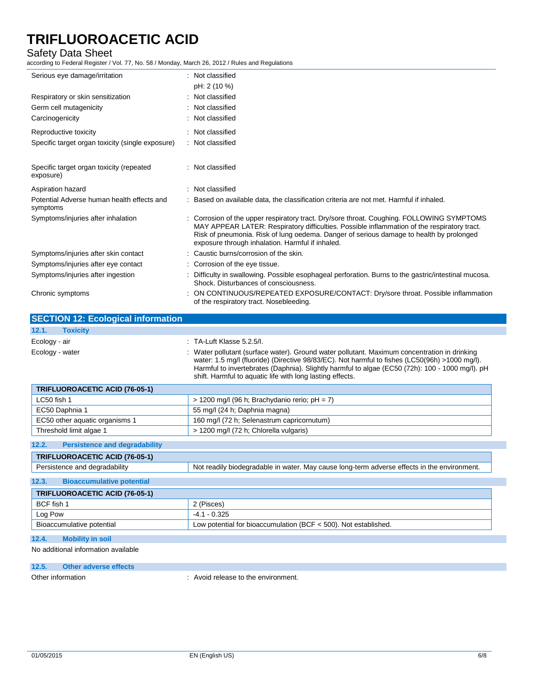# Safety Data Sheet

according to Federal Register / Vol. 77, No. 58 / Monday, March 26, 2012 / Rules and Regulations

| ccording to Federal Register / Vol. 77, No. 58 / Monday, March 26, 2012 / Rules and Regulations |                                                                                                                                                                                                                                                                                                                                                              |
|-------------------------------------------------------------------------------------------------|--------------------------------------------------------------------------------------------------------------------------------------------------------------------------------------------------------------------------------------------------------------------------------------------------------------------------------------------------------------|
| Serious eye damage/irritation                                                                   | : Not classified                                                                                                                                                                                                                                                                                                                                             |
|                                                                                                 | pH: 2 (10 %)                                                                                                                                                                                                                                                                                                                                                 |
| Respiratory or skin sensitization                                                               | : Not classified                                                                                                                                                                                                                                                                                                                                             |
| Germ cell mutagenicity                                                                          | Not classified                                                                                                                                                                                                                                                                                                                                               |
| Carcinogenicity                                                                                 | Not classified                                                                                                                                                                                                                                                                                                                                               |
| Reproductive toxicity                                                                           | : Not classified                                                                                                                                                                                                                                                                                                                                             |
| Specific target organ toxicity (single exposure)                                                | : Not classified                                                                                                                                                                                                                                                                                                                                             |
| Specific target organ toxicity (repeated<br>exposure)                                           | : Not classified                                                                                                                                                                                                                                                                                                                                             |
| Aspiration hazard                                                                               | : Not classified                                                                                                                                                                                                                                                                                                                                             |
| Potential Adverse human health effects and<br>symptoms                                          | : Based on available data, the classification criteria are not met. Harmful if inhaled.                                                                                                                                                                                                                                                                      |
| Symptoms/injuries after inhalation                                                              | : Corrosion of the upper respiratory tract. Dry/sore throat. Coughing. FOLLOWING SYMPTOMS<br>MAY APPEAR LATER: Respiratory difficulties. Possible inflammation of the respiratory tract.<br>Risk of pneumonia. Risk of lung oedema. Danger of serious damage to health by prolonged<br>exposure through inhalation. Harmful if inhaled.                      |
| Symptoms/injuries after skin contact                                                            | : Caustic burns/corrosion of the skin.                                                                                                                                                                                                                                                                                                                       |
| Symptoms/injuries after eye contact                                                             | : Corrosion of the eye tissue.                                                                                                                                                                                                                                                                                                                               |
| Symptoms/injuries after ingestion                                                               | : Difficulty in swallowing. Possible esophageal perforation. Burns to the gastric/intestinal mucosa.<br>Shock. Disturbances of consciousness.                                                                                                                                                                                                                |
| Chronic symptoms                                                                                | ON CONTINUOUS/REPEATED EXPOSURE/CONTACT: Dry/sore throat. Possible inflammation<br>of the respiratory tract. Nosebleeding.                                                                                                                                                                                                                                   |
| <b>SECTION 12: Ecological information</b>                                                       |                                                                                                                                                                                                                                                                                                                                                              |
| <b>Toxicity</b><br>12.1.                                                                        |                                                                                                                                                                                                                                                                                                                                                              |
|                                                                                                 |                                                                                                                                                                                                                                                                                                                                                              |
| Ecology - air                                                                                   | : TA-Luft Klasse 5.2.5/I.                                                                                                                                                                                                                                                                                                                                    |
|                                                                                                 | Water pollutant (surface water). Ground water pollutant. Maximum concentration in drinking<br>water: 1.5 mg/l (fluoride) (Directive 98/83/EC). Not harmful to fishes (LC50(96h) >1000 mg/l).<br>Harmful to invertebrates (Daphnia). Slightly harmful to algae (EC50 (72h): 100 - 1000 mg/l). pH<br>shift. Harmful to aquatic life with long lasting effects. |
| <b>TRIFLUOROACETIC ACID (76-05-1)</b>                                                           |                                                                                                                                                                                                                                                                                                                                                              |
| LC50 fish 1                                                                                     | $>$ 1200 mg/l (96 h; Brachydanio rerio; pH = 7)                                                                                                                                                                                                                                                                                                              |
| EC50 Daphnia 1                                                                                  | 55 mg/l (24 h; Daphnia magna)                                                                                                                                                                                                                                                                                                                                |
| EC50 other aquatic organisms 1                                                                  | 160 mg/l (72 h; Selenastrum capricornutum)                                                                                                                                                                                                                                                                                                                   |
| Threshold limit algae 1                                                                         | > 1200 mg/l (72 h; Chlorella vulgaris)                                                                                                                                                                                                                                                                                                                       |
| Ecology - water<br><b>Persistence and degradability</b><br>12.2.                                |                                                                                                                                                                                                                                                                                                                                                              |
| TRIFLUOROACETIC ACID (76-05-1)                                                                  |                                                                                                                                                                                                                                                                                                                                                              |
| Persistence and degradability                                                                   | Not readily biodegradable in water. May cause long-term adverse effects in the environment.                                                                                                                                                                                                                                                                  |
| <b>Bioaccumulative potential</b>                                                                |                                                                                                                                                                                                                                                                                                                                                              |
| TRIFLUOROACETIC ACID (76-05-1)                                                                  |                                                                                                                                                                                                                                                                                                                                                              |
| BCF fish 1                                                                                      | 2 (Pisces)                                                                                                                                                                                                                                                                                                                                                   |
| Log Pow                                                                                         | $-4.1 - 0.325$                                                                                                                                                                                                                                                                                                                                               |
| 12.3.<br>Bioaccumulative potential                                                              | Low potential for bioaccumulation (BCF < 500). Not established.                                                                                                                                                                                                                                                                                              |
| 12.4.<br><b>Mobility in soil</b>                                                                |                                                                                                                                                                                                                                                                                                                                                              |

**12.5. Other adverse effects**

Other information  $\cdot$  Avoid release to the environment.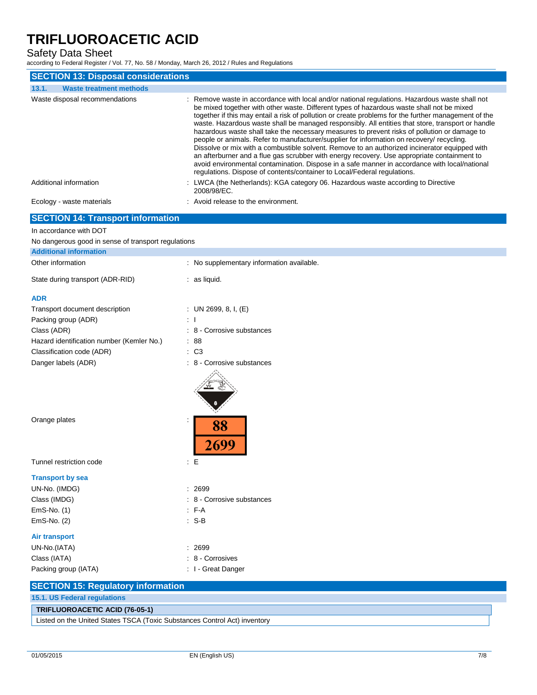| <b>Safety Data Sheet</b><br>according to Federal Register / Vol. 77, No. 58 / Monday, March 26, 2012 / Rules and Regulations |                                                                                                                                                                                                                                                                                                                                                                                                                                                                                                                                                                                                                                                                                                                                                                                                                                                                                                                                                                                    |
|------------------------------------------------------------------------------------------------------------------------------|------------------------------------------------------------------------------------------------------------------------------------------------------------------------------------------------------------------------------------------------------------------------------------------------------------------------------------------------------------------------------------------------------------------------------------------------------------------------------------------------------------------------------------------------------------------------------------------------------------------------------------------------------------------------------------------------------------------------------------------------------------------------------------------------------------------------------------------------------------------------------------------------------------------------------------------------------------------------------------|
| <b>SECTION 13: Disposal considerations</b>                                                                                   |                                                                                                                                                                                                                                                                                                                                                                                                                                                                                                                                                                                                                                                                                                                                                                                                                                                                                                                                                                                    |
| 13.1.<br><b>Waste treatment methods</b>                                                                                      |                                                                                                                                                                                                                                                                                                                                                                                                                                                                                                                                                                                                                                                                                                                                                                                                                                                                                                                                                                                    |
| Waste disposal recommendations                                                                                               | : Remove waste in accordance with local and/or national regulations. Hazardous waste shall not<br>be mixed together with other waste. Different types of hazardous waste shall not be mixed<br>together if this may entail a risk of pollution or create problems for the further management of the<br>waste. Hazardous waste shall be managed responsibly. All entities that store, transport or handle<br>hazardous waste shall take the necessary measures to prevent risks of pollution or damage to<br>people or animals. Refer to manufacturer/supplier for information on recovery/ recycling.<br>Dissolve or mix with a combustible solvent. Remove to an authorized incinerator equipped with<br>an afterburner and a flue gas scrubber with energy recovery. Use appropriate containment to<br>avoid environmental contamination. Dispose in a safe manner in accordance with local/national<br>regulations. Dispose of contents/container to Local/Federal regulations. |
| Additional information                                                                                                       | : LWCA (the Netherlands): KGA category 06. Hazardous waste according to Directive<br>2008/98/EC.                                                                                                                                                                                                                                                                                                                                                                                                                                                                                                                                                                                                                                                                                                                                                                                                                                                                                   |
| Ecology - waste materials                                                                                                    | : Avoid release to the environment.                                                                                                                                                                                                                                                                                                                                                                                                                                                                                                                                                                                                                                                                                                                                                                                                                                                                                                                                                |
| <b>SECTION 14: Transport information</b>                                                                                     |                                                                                                                                                                                                                                                                                                                                                                                                                                                                                                                                                                                                                                                                                                                                                                                                                                                                                                                                                                                    |
| In accordance with DOT                                                                                                       |                                                                                                                                                                                                                                                                                                                                                                                                                                                                                                                                                                                                                                                                                                                                                                                                                                                                                                                                                                                    |
| No dangerous good in sense of transport regulations                                                                          |                                                                                                                                                                                                                                                                                                                                                                                                                                                                                                                                                                                                                                                                                                                                                                                                                                                                                                                                                                                    |
| <b>Additional information</b>                                                                                                |                                                                                                                                                                                                                                                                                                                                                                                                                                                                                                                                                                                                                                                                                                                                                                                                                                                                                                                                                                                    |
| Other information                                                                                                            | : No supplementary information available.                                                                                                                                                                                                                                                                                                                                                                                                                                                                                                                                                                                                                                                                                                                                                                                                                                                                                                                                          |
| State during transport (ADR-RID)                                                                                             | $:$ as liquid.                                                                                                                                                                                                                                                                                                                                                                                                                                                                                                                                                                                                                                                                                                                                                                                                                                                                                                                                                                     |
| <b>ADR</b>                                                                                                                   |                                                                                                                                                                                                                                                                                                                                                                                                                                                                                                                                                                                                                                                                                                                                                                                                                                                                                                                                                                                    |
| Transport document description                                                                                               | : UN 2699, 8, I, $(E)$                                                                                                                                                                                                                                                                                                                                                                                                                                                                                                                                                                                                                                                                                                                                                                                                                                                                                                                                                             |
| Packing group (ADR)                                                                                                          |                                                                                                                                                                                                                                                                                                                                                                                                                                                                                                                                                                                                                                                                                                                                                                                                                                                                                                                                                                                    |
| Class (ADR)                                                                                                                  | 8 - Corrosive substances                                                                                                                                                                                                                                                                                                                                                                                                                                                                                                                                                                                                                                                                                                                                                                                                                                                                                                                                                           |
| Hazard identification number (Kemler No.)                                                                                    | : 88                                                                                                                                                                                                                                                                                                                                                                                                                                                                                                                                                                                                                                                                                                                                                                                                                                                                                                                                                                               |
| Classification code (ADR)                                                                                                    | $\therefore$ C <sub>3</sub>                                                                                                                                                                                                                                                                                                                                                                                                                                                                                                                                                                                                                                                                                                                                                                                                                                                                                                                                                        |
| Danger labels (ADR)                                                                                                          | : 8 - Corrosive substances                                                                                                                                                                                                                                                                                                                                                                                                                                                                                                                                                                                                                                                                                                                                                                                                                                                                                                                                                         |
| Orange plates                                                                                                                |                                                                                                                                                                                                                                                                                                                                                                                                                                                                                                                                                                                                                                                                                                                                                                                                                                                                                                                                                                                    |

Tunnel restriction code : E

### **Transport by sea**

| UN-No. (IMDG)        | : 2699                     |
|----------------------|----------------------------|
| Class (IMDG)         | : 8 - Corrosive substances |
| $EmS-No.$ (1)        | F A                        |
| $EmS-No.$ (2)        | :S-B                       |
| Air transport        |                            |
| UN-No.(IATA)         | : 2699                     |
| Class (IATA)         | : 8 - Corrosives           |
| Packing group (IATA) | : I - Great Danger         |

| <b>SECTION 15: Regulatory information</b>                                 |  |
|---------------------------------------------------------------------------|--|
|                                                                           |  |
| <b>15.1. US Federal regulations</b>                                       |  |
| TRIFLUOROACETIC ACID (76-05-1)                                            |  |
| Listed on the United States TSCA (Toxic Substances Control Act) inventory |  |

2699